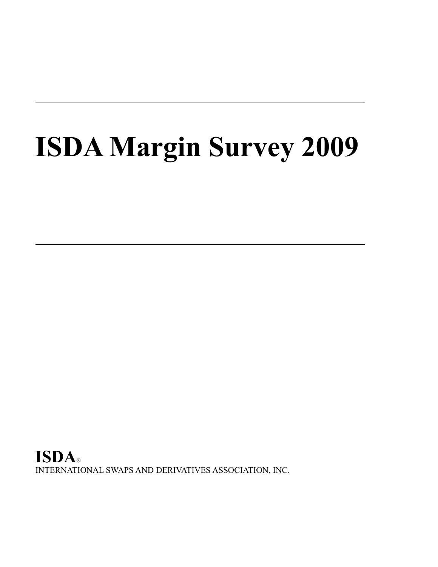# **ISDA Margin Survey 2009**

**ISDA**® INTERNATIONAL SWAPS AND DERIVATIVES ASSOCIATION, INC.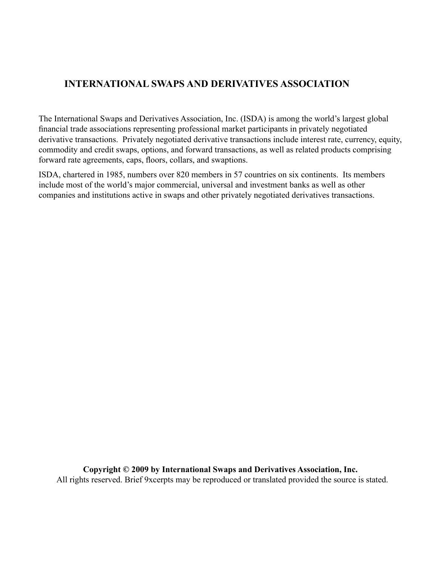# **INTERNATIONAL SWAPS AND DERIVATIVES ASSOCIATION**

The International Swaps and Derivatives Association, Inc. (ISDA) is among the world's largest global financial trade associations representing professional market participants in privately negotiated derivative transactions. Privately negotiated derivative transactions include interest rate, currency, equity, commodity and credit swaps, options, and forward transactions, as well as related products comprising forward rate agreements, caps, floors, collars, and swaptions.

ISDA, chartered in 1985, numbers over 820 members in 57 countries on six continents. Its members include most of the world's major commercial, universal and investment banks as well as other companies and institutions active in swaps and other privately negotiated derivatives transactions.

**Copyright © 2009 by International Swaps and Derivatives Association, Inc.** All rights reserved. Brief 9xcerpts may be reproduced or translated provided the source is stated.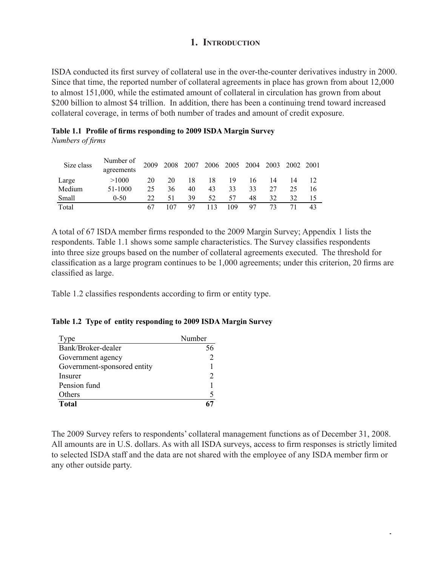# **1. Introduction**

ISDA conducted its first survey of collateral use in the over-the-counter derivatives industry in 2000. Since that time, the reported number of collateral agreements in place has grown from about 12,000 to almost 151,000, while the estimated amount of collateral in circulation has grown from about \$200 billion to almost \$4 trillion. In addition, there has been a continuing trend toward increased collateral coverage, in terms of both number of trades and amount of credit exposure.

|                  | Table 1.1 Profile of firms responding to 2009 ISDA Margin Survey |  |  |
|------------------|------------------------------------------------------------------|--|--|
| Numbers of firms |                                                                  |  |  |

| Size class | Number of  | 2009 | 2008 | 2007 2006 2005 2004 2003 2002 2001 |    |     |    |    |    |    |
|------------|------------|------|------|------------------------------------|----|-----|----|----|----|----|
|            | agreements |      |      |                                    |    |     |    |    |    |    |
| Large      | >1000      | 20   | 20   | 18                                 | 18 | 19  | 16 | 14 | 14 |    |
| Medium     | 51-1000    | 25   | 36   | 40                                 | 43 | 33  | 33 | 27 | 25 | 16 |
| Small      | $0-50$     | 22   | 51   | 39                                 | 52 | 57  | 48 | 32 | 32 |    |
| Total      |            |      |      |                                    |    | 109 | 97 | 73 |    | 43 |

A total of 67 ISDA member firms responded to the 2009 Margin Survey; Appendix 1 lists the respondents. Table 1.1 shows some sample characteristics. The Survey classifies respondents into three size groups based on the number of collateral agreements executed. The threshold for classification as a large program continues to be 1,000 agreements; under this criterion, 20 firms are classified as large.

Table 1.2 classifies respondents according to firm or entity type.

#### **Table 1.2 Type of entity responding to 2009 ISDA Margin Survey**

| Type                        | Number |
|-----------------------------|--------|
| Bank/Broker-dealer          |        |
| Government agency           |        |
| Government-sponsored entity |        |
| Insurer                     |        |
| Pension fund                |        |
| Others                      |        |
| <b>Total</b>                |        |

The 2009 Survey refers to respondents' collateral management functions as of December 31, 2008. All amounts are in U.S. dollars. As with all ISDA surveys, access to firm responses is strictly limited to selected ISDA staff and the data are not shared with the employee of any ISDA member firm or any other outside party.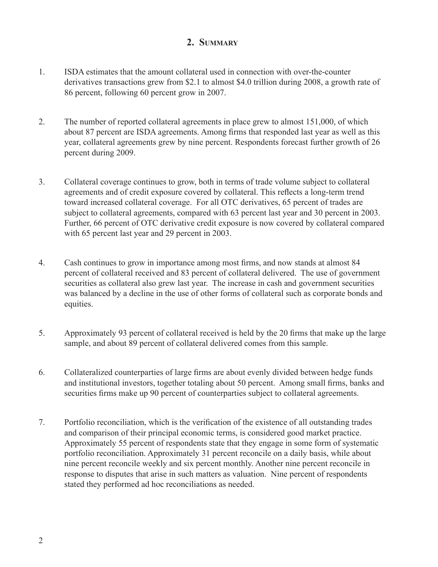# **2. Summary**

- 1. ISDA estimates that the amount collateral used in connection with over-the-counter derivatives transactions grew from \$2.1 to almost \$4.0 trillion during 2008, a growth rate of 86 percent, following 60 percent grow in 2007.
- 2. The number of reported collateral agreements in place grew to almost 151,000, of which about 87 percent are ISDA agreements. Among firms that responded last year as well as this year, collateral agreements grew by nine percent. Respondents forecast further growth of 26 percent during 2009.
- 3. Collateral coverage continues to grow, both in terms of trade volume subject to collateral agreements and of credit exposure covered by collateral. This reflects a long-term trend toward increased collateral coverage. For all OTC derivatives, 65 percent of trades are subject to collateral agreements, compared with 63 percent last year and 30 percent in 2003. Further, 66 percent of OTC derivative credit exposure is now covered by collateral compared with 65 percent last year and 29 percent in 2003.
- 4. Cash continues to grow in importance among most firms, and now stands at almost 84 percent of collateral received and 83 percent of collateral delivered. The use of government securities as collateral also grew last year. The increase in cash and government securities was balanced by a decline in the use of other forms of collateral such as corporate bonds and equities.
- 5. Approximately 93 percent of collateral received is held by the 20 firms that make up the large sample, and about 89 percent of collateral delivered comes from this sample.
- 6. Collateralized counterparties of large firms are about evenly divided between hedge funds and institutional investors, together totaling about 50 percent. Among small firms, banks and securities firms make up 90 percent of counterparties subject to collateral agreements.
- 7. Portfolio reconciliation, which is the verification of the existence of all outstanding trades and comparison of their principal economic terms, is considered good market practice. Approximately 55 percent of respondents state that they engage in some form of systematic portfolio reconciliation. Approximately 31 percent reconcile on a daily basis, while about nine percent reconcile weekly and six percent monthly. Another nine percent reconcile in response to disputes that arise in such matters as valuation. Nine percent of respondents stated they performed ad hoc reconciliations as needed.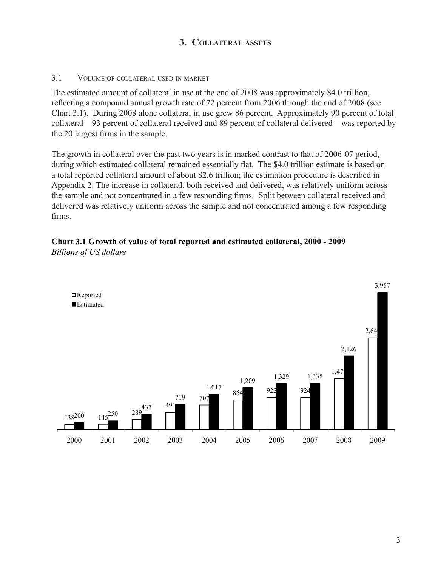# **3. Collateral assets**

#### 3.1 Volume of collateral used in market

The estimated amount of collateral in use at the end of 2008 was approximately \$4.0 trillion, reflecting a compound annual growth rate of 72 percent from 2006 through the end of 2008 (see Chart 3.1). During 2008 alone collateral in use grew 86 percent. Approximately 90 percent of total collateral—93 percent of collateral received and 89 percent of collateral delivered—was reported by the 20 largest firms in the sample.

The growth in collateral over the past two years is in marked contrast to that of 2006-07 period, during which estimated collateral remained essentially flat. The \$4.0 trillion estimate is based on a total reported collateral amount of about \$2.6 trillion; the estimation procedure is described in Appendix 2. The increase in collateral, both received and delivered, was relatively uniform across the sample and not concentrated in a few responding firms. Split between collateral received and delivered was relatively uniform across the sample and not concentrated among a few responding firms.



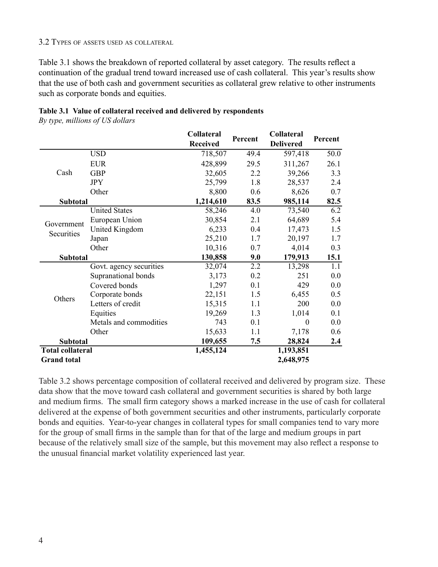Table 3.1 shows the breakdown of reported collateral by asset category. The results reflect a continuation of the gradual trend toward increased use of cash collateral. This year's results show that the use of both cash and government securities as collateral grew relative to other instruments such as corporate bonds and equities.

|                         |                         | Collateral<br><b>Received</b> | Percent | Collateral<br><b>Delivered</b> | Percent |
|-------------------------|-------------------------|-------------------------------|---------|--------------------------------|---------|
|                         | <b>USD</b>              | 718,507                       | 49.4    | 597,418                        | 50.0    |
|                         | <b>EUR</b>              | 428,899                       | 29.5    | 311,267                        | 26.1    |
| Cash                    | <b>GBP</b>              | 32,605                        | 2.2     | 39,266                         | 3.3     |
|                         | <b>JPY</b>              | 25,799                        | 1.8     | 28,537                         | 2.4     |
|                         | Other                   | 8,800                         | 0.6     | 8,626                          | 0.7     |
| Subtotal                |                         | 1,214,610                     | 83.5    | 985,114                        | 82.5    |
|                         | <b>United States</b>    | 58,246                        | 4.0     | 73,540                         | 6.2     |
| Government              | European Union          | 30,854                        | 2.1     | 64,689                         | 5.4     |
| Securities              | <b>United Kingdom</b>   | 6,233                         | 0.4     | 17,473                         | 1.5     |
|                         | Japan                   | 25,210                        | 1.7     | 20,197                         | 1.7     |
|                         | Other                   | 10,316                        | 0.7     | 4,014                          | 0.3     |
| <b>Subtotal</b>         |                         | 130,858                       | 9.0     | 179,913                        | 15.1    |
|                         | Govt. agency securities | 32,074                        | 2.2     | 13,298                         | 1.1     |
|                         | Supranational bonds     | 3,173                         | 0.2     | 251                            | 0.0     |
|                         | Covered bonds           | 1,297                         | 0.1     | 429                            | 0.0     |
| Others                  | Corporate bonds         | 22,151                        | 1.5     | 6,455                          | 0.5     |
|                         | Letters of credit       | 15,315                        | 1.1     | 200                            | 0.0     |
|                         | Equities                | 19,269                        | 1.3     | 1,014                          | 0.1     |
|                         | Metals and commodities  | 743                           | 0.1     | $\boldsymbol{0}$               | 0.0     |
|                         | Other                   | 15,633                        | 1.1     | 7,178                          | 0.6     |
| <b>Subtotal</b>         |                         | 109,655                       | 7.5     | 28,824                         | 2.4     |
| <b>Total collateral</b> |                         | 1,455,124                     |         | 1,193,851                      |         |
| <b>Grand</b> total      |                         |                               |         | 2,648,975                      |         |

#### **Table 3.1 Value of collateral received and delivered by respondents**

*By type, millions of US dollars*

Table 3.2 shows percentage composition of collateral received and delivered by program size. These data show that the move toward cash collateral and government securities is shared by both large and medium firms. The small firm category shows a marked increase in the use of cash for collateral delivered at the expense of both government securities and other instruments, particularly corporate bonds and equities. Year-to-year changes in collateral types for small companies tend to vary more for the group of small firms in the sample than for that of the large and medium groups in part because of the relatively small size of the sample, but this movement may also reflect a response to the unusual financial market volatility experienced last year.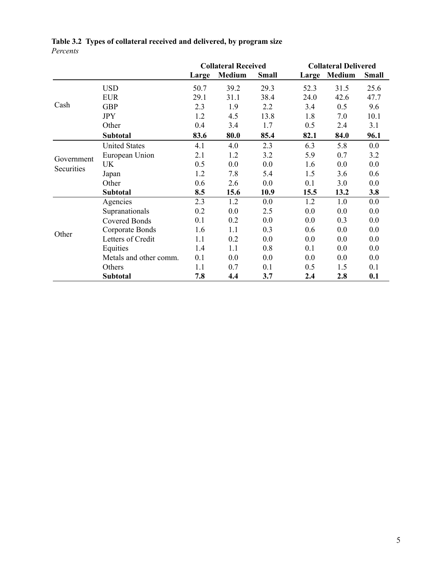|            |                        | <b>Collateral Received</b> |        |              | <b>Collateral Delivered</b> |        |              |  |
|------------|------------------------|----------------------------|--------|--------------|-----------------------------|--------|--------------|--|
|            |                        | Large                      | Medium | <b>Small</b> | Large                       | Medium | <b>Small</b> |  |
|            | <b>USD</b>             | 50.7                       | 39.2   | 29.3         | 52.3                        | 31.5   | 25.6         |  |
|            | <b>EUR</b>             | 29.1                       | 31.1   | 38.4         | 24.0                        | 42.6   | 47.7         |  |
| Cash       | <b>GBP</b>             | 2.3                        | 1.9    | 2.2          | 3.4                         | 0.5    | 9.6          |  |
|            | <b>JPY</b>             | 1.2                        | 4.5    | 13.8         | 1.8                         | 7.0    | 10.1         |  |
|            | Other                  | 0.4                        | 3.4    | 1.7          | 0.5                         | 2.4    | 3.1          |  |
|            | Subtotal               | 83.6                       | 80.0   | 85.4         | 82.1                        | 84.0   | 96.1         |  |
|            | <b>United States</b>   | 4.1                        | 4.0    | 2.3          | 6.3                         | 5.8    | 0.0          |  |
| Government | European Union         | 2.1                        | 1.2    | 3.2          | 5.9                         | 0.7    | 3.2          |  |
| Securities | UK                     | 0.5                        | 0.0    | 0.0          | 1.6                         | 0.0    | 0.0          |  |
|            | Japan                  | 1.2                        | 7.8    | 5.4          | 1.5                         | 3.6    | 0.6          |  |
|            | Other                  | 0.6                        | 2.6    | 0.0          | 0.1                         | 3.0    | 0.0          |  |
|            | Subtotal               | 8.5                        | 15.6   | 10.9         | 15.5                        | 13.2   | 3.8          |  |
|            | Agencies               | 2.3                        | 1.2    | 0.0          | 1.2                         | 1.0    | 0.0          |  |
|            | Supranationals         | 0.2                        | 0.0    | 2.5          | 0.0                         | 0.0    | 0.0          |  |
|            | <b>Covered Bonds</b>   | 0.1                        | 0.2    | 0.0          | 0.0                         | 0.3    | 0.0          |  |
| Other      | Corporate Bonds        | 1.6                        | 1.1    | 0.3          | 0.6                         | 0.0    | 0.0          |  |
|            | Letters of Credit      | 1.1                        | 0.2    | 0.0          | 0.0                         | 0.0    | 0.0          |  |
|            | Equities               | 1.4                        | 1.1    | 0.8          | 0.1                         | 0.0    | 0.0          |  |
|            | Metals and other comm. | 0.1                        | 0.0    | 0.0          | 0.0                         | 0.0    | 0.0          |  |
|            | Others                 | 1.1                        | 0.7    | 0.1          | 0.5                         | 1.5    | 0.1          |  |
|            | <b>Subtotal</b>        | 7.8                        | 4.4    | 3.7          | 2.4                         | 2.8    | 0.1          |  |

## **Table 3.2 Types of collateral received and delivered, by program size** *Percents*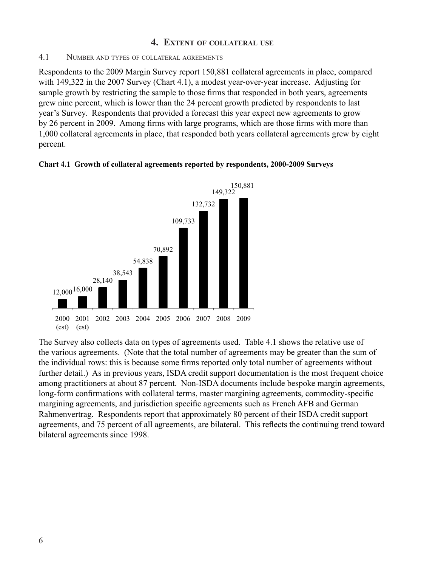# **4. Extent of collateral use**

#### 4.1 Number and types of collateral agreements

Respondents to the 2009 Margin Survey report 150,881 collateral agreements in place, compared with 149,322 in the 2007 Survey (Chart 4.1), a modest year-over-year increase. Adjusting for sample growth by restricting the sample to those firms that responded in both years, agreements grew nine percent, which is lower than the 24 percent growth predicted by respondents to last year's Survey. Respondents that provided a forecast this year expect new agreements to grow by 26 percent in 2009. Among firms with large programs, which are those firms with more than 1,000 collateral agreements in place, that responded both years collateral agreements grew by eight percent.



#### **Chart 4.1 Growth of collateral agreements reported by respondents, 2000-2009 Surveys**

The Survey also collects data on types of agreements used. Table 4.1 shows the relative use of the various agreements. (Note that the total number of agreements may be greater than the sum of the individual rows: this is because some firms reported only total number of agreements without further detail.) As in previous years, ISDA credit support documentation is the most frequent choice among practitioners at about 87 percent. Non-ISDA documents include bespoke margin agreements, long-form confirmations with collateral terms, master margining agreements, commodity-specific margining agreements, and jurisdiction specific agreements such as French AFB and German Rahmenvertrag. Respondents report that approximately 80 percent of their ISDA credit support agreements, and 75 percent of all agreements, are bilateral. This reflects the continuing trend toward bilateral agreements since 1998.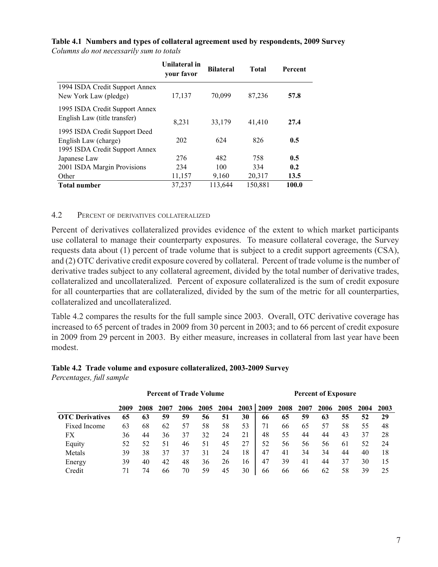|                                                                                         | Unilateral in<br>your favor | <b>Bilateral</b> | Total   | Percent |
|-----------------------------------------------------------------------------------------|-----------------------------|------------------|---------|---------|
| 1994 ISDA Credit Support Annex<br>New York Law (pledge)                                 | 17,137                      | 70,099           | 87,236  | 57.8    |
| 1995 ISDA Credit Support Annex<br>English Law (title transfer)                          | 8,231                       | 33,179           | 41,410  | 27.4    |
| 1995 ISDA Credit Support Deed<br>English Law (charge)<br>1995 ISDA Credit Support Annex | 202                         | 624              | 826     | 0.5     |
| Japanese Law                                                                            | 276                         | 482              | 758     | 0.5     |
| 2001 ISDA Margin Provisions                                                             | 234                         | 100              | 334     | 0.2     |
| Other                                                                                   | 11,157                      | 9,160            | 20,317  | 13.5    |
| <b>Total number</b>                                                                     | 37,237                      | 113,644          | 150,881 | 100.0   |

#### **Table 4.1 Numbers and types of collateral agreement used by respondents, 2009 Survey** *Columns do not necessarily sum to totals*

#### 4.2 Percent of derivatives collateralized

Percent of derivatives collateralized provides evidence of the extent to which market participants use collateral to manage their counterparty exposures. To measure collateral coverage, the Survey requests data about (1) percent of trade volume that is subject to a credit support agreements (CSA), and (2) OTC derivative credit exposure covered by collateral. Percent of trade volume is the number of derivative trades subject to any collateral agreement, divided by the total number of derivative trades, collateralized and uncollateralized. Percent of exposure collateralized is the sum of credit exposure for all counterparties that are collateralized, divided by the sum of the metric for all counterparties, collateralized and uncollateralized.

Table 4.2 compares the results for the full sample since 2003. Overall, OTC derivative coverage has increased to 65 percent of trades in 2009 from 30 percent in 2003; and to 66 percent of credit exposure in 2009 from 29 percent in 2003. By either measure, increases in collateral from last year have been modest.

#### **Table 4.2 Trade volume and exposure collateralized, 2003-2009 Survey** *Percentages, full sample*

|                        | <b>Percent of Trade Volume</b> |      |      |      |      | <b>Percent of Exposure</b> |      |      |      |      |      |      |      |      |
|------------------------|--------------------------------|------|------|------|------|----------------------------|------|------|------|------|------|------|------|------|
|                        | 2009                           | 2008 | 2007 | 2006 | 2005 | 2004                       | 2003 | 2009 | 2008 | 2007 | 2006 | 2005 | 2004 | 2003 |
| <b>OTC</b> Derivatives | 65                             | 63   | 59   | 59   | 56   | 51                         | 30   | 66   | 65   | 59   | 63   | 55   | 52   | 29   |
| Fixed Income           | 63                             | 68   | 62   | 57   | 58   | 58                         | 53   | 71   | 66   | 65   | 57   | 58   | 55   | 48   |
| FX                     | 36                             | 44   | 36   | 37   | 32   | 24                         | 21   | 48   | 55   | 44   | 44   | 43   | 37   | 28   |
| Equity                 | 52                             | 52   | 51   | 46   | 51   | 45                         | 27   | 52   | 56   | 56   | 56   | 61   | 52   | 24   |
| Metals                 | 39                             | 38   | 37   | 37   | 31   | 24                         | 18   | 47   | 41   | 34   | 34   | 44   | 40   | 18   |
| Energy                 | 39                             | 40   | 42   | 48   | 36   | 26                         | 16   | 47   | 39   | 41   | 44   | 37   | 30   | 15   |
| Credit                 |                                | 74   | 66   | 70   | 59   | 45                         | 30   | 66   | 66   | 66   | 62   | 58   | 39   | 25   |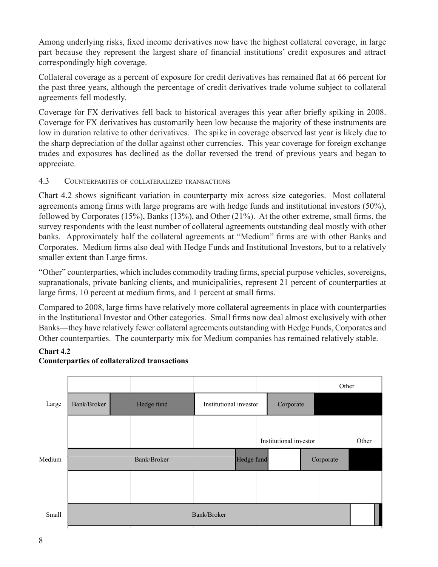Among underlying risks, fixed income derivatives now have the highest collateral coverage, in large part because they represent the largest share of financial institutions' credit exposures and attract correspondingly high coverage.

Collateral coverage as a percent of exposure for credit derivatives has remained flat at 66 percent for the past three years, although the percentage of credit derivatives trade volume subject to collateral agreements fell modestly.

Coverage for FX derivatives fell back to historical averages this year after briefly spiking in 2008. Coverage for FX derivatives has customarily been low because the majority of these instruments are low in duration relative to other derivatives. The spike in coverage observed last year is likely due to the sharp depreciation of the dollar against other currencies. This year coverage for foreign exchange trades and exposures has declined as the dollar reversed the trend of previous years and began to appreciate.

# 4.3 Counterparites of collateralized transactions

Chart 4.2 shows significant variation in counterparty mix across size categories. Most collateral agreements among firms with large programs are with hedge funds and institutional investors (50%), followed by Corporates (15%), Banks (13%), and Other (21%). At the other extreme, small firms, the survey respondents with the least number of collateral agreements outstanding deal mostly with other banks. Approximately half the collateral agreements at "Medium" firms are with other Banks and Corporates. Medium firms also deal with Hedge Funds and Institutional Investors, but to a relatively smaller extent than Large firms.

"Other" counterparties, which includes commodity trading firms, special purpose vehicles, sovereigns, supranationals, private banking clients, and municipalities, represent 21 percent of counterparties at large firms, 10 percent at medium firms, and 1 percent at small firms.

Compared to 2008, large firms have relatively more collateral agreements in place with counterparties in the Institutional Investor and Other categories. Small firms now deal almost exclusively with other Banks—they have relatively fewer collateral agreements outstanding with Hedge Funds, Corporates and Other counterparties. The counterparty mix for Medium companies has remained relatively stable.

## **Chart 4.2**



## **Counterparties of collateralized transactions**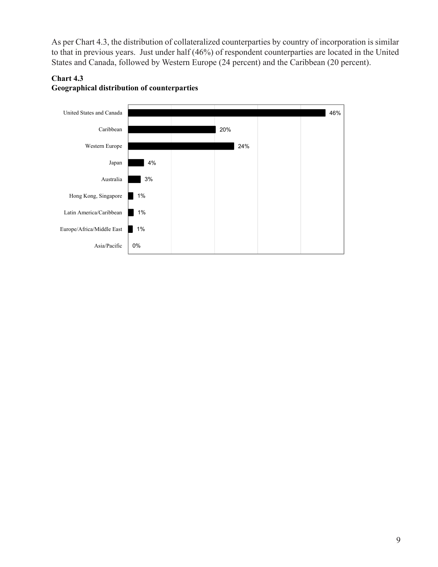As per Chart 4.3, the distribution of collateralized counterparties by country of incorporation is similar to that in previous years. Just under half (46%) of respondent counterparties are located in the United States and Canada, followed by Western Europe (24 percent) and the Caribbean (20 percent).



# **Chart 4.3 Geographical distribution of counterparties**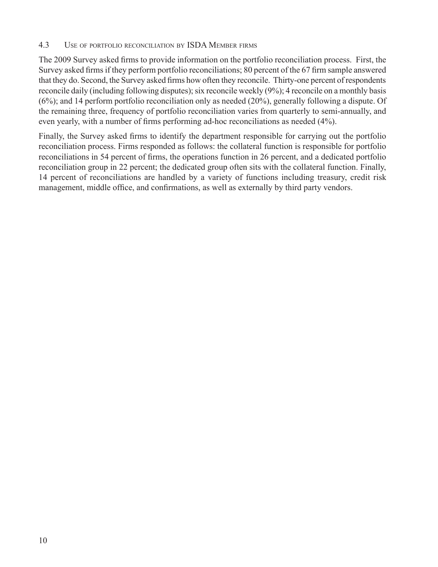#### 4.3 Use of portfolio reconciliation by ISDA Member firms

The 2009 Survey asked firms to provide information on the portfolio reconciliation process. First, the Survey asked firms if they perform portfolio reconciliations; 80 percent of the 67 firm sample answered that they do. Second, the Survey asked firms how often they reconcile. Thirty-one percent of respondents reconcile daily (including following disputes); six reconcile weekly (9%); 4 reconcile on a monthly basis (6%); and 14 perform portfolio reconciliation only as needed (20%), generally following a dispute. Of the remaining three, frequency of portfolio reconciliation varies from quarterly to semi-annually, and even yearly, with a number of firms performing ad-hoc reconciliations as needed (4%).

Finally, the Survey asked firms to identify the department responsible for carrying out the portfolio reconciliation process. Firms responded as follows: the collateral function is responsible for portfolio reconciliations in 54 percent of firms, the operations function in 26 percent, and a dedicated portfolio reconciliation group in 22 percent; the dedicated group often sits with the collateral function. Finally, 14 percent of reconciliations are handled by a variety of functions including treasury, credit risk management, middle office, and confirmations, as well as externally by third party vendors.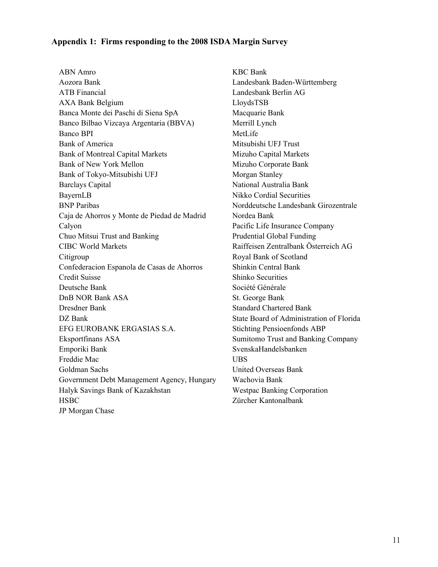#### **Appendix 1: Firms responding to the 2008 ISDA Margin Survey**

ABN Amro KBC Bank Aozora Bank Landesbank Baden-Württemberg ATB Financial Landesbank Berlin AG AXA Bank Belgium LloydsTSB Banca Monte dei Paschi di Siena SpA Macquarie Bank Banco Bilbao Vizcaya Argentaria (BBVA) Merrill Lynch Banco BPI MetLife Bank of America Mitsubishi UFJ Trust Bank of Montreal Capital Markets Mizuho Capital Markets Bank of New York Mellon Mizuho Corporate Bank Bank of Tokyo-Mitsubishi UFJ Morgan Stanley Barclays Capital National Australia Bank BayernLB Nikko Cordial Securities BNP Paribas Norddeutsche Landesbank Girozentrale Caja de Ahorros y Monte de Piedad de Madrid Nordea Bank Calyon Pacific Life Insurance Company Chuo Mitsui Trust and Banking Prudential Global Funding CIBC World Markets Raiffeisen Zentralbank Österreich AG Citigroup Royal Bank of Scotland Confederacion Espanola de Casas de Ahorros Shinkin Central Bank Credit Suisse Shinko Securities Deutsche Bank Société Générale DnB NOR Bank ASA St. George Bank Dresdner Bank Standard Chartered Bank DZ Bank State Board of Administration of Florida EFG EUROBANK ERGASIAS S.A. Stichting Pensioenfonds ABP Eksportfinans ASA Sumitomo Trust and Banking Company Emporiki Bank SvenskaHandelsbanken Freddie Mac UBS Goldman Sachs United Overseas Bank Government Debt Management Agency, Hungary Wachovia Bank Halyk Savings Bank of Kazakhstan Westpac Banking Corporation HSBC Zürcher Kantonalbank JP Morgan Chase